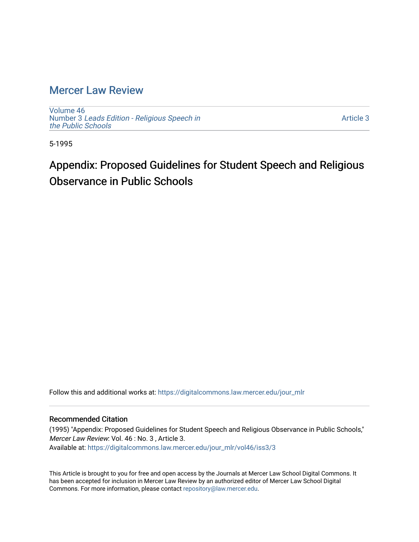## [Mercer Law Review](https://digitalcommons.law.mercer.edu/jour_mlr)

[Volume 46](https://digitalcommons.law.mercer.edu/jour_mlr/vol46) Number 3 [Leads Edition - Religious Speech in](https://digitalcommons.law.mercer.edu/jour_mlr/vol46/iss3) [the Public Schools](https://digitalcommons.law.mercer.edu/jour_mlr/vol46/iss3)

[Article 3](https://digitalcommons.law.mercer.edu/jour_mlr/vol46/iss3/3) 

5-1995

# Appendix: Proposed Guidelines for Student Speech and Religious Observance in Public Schools

Follow this and additional works at: [https://digitalcommons.law.mercer.edu/jour\\_mlr](https://digitalcommons.law.mercer.edu/jour_mlr?utm_source=digitalcommons.law.mercer.edu%2Fjour_mlr%2Fvol46%2Fiss3%2F3&utm_medium=PDF&utm_campaign=PDFCoverPages)

### Recommended Citation

(1995) "Appendix: Proposed Guidelines for Student Speech and Religious Observance in Public Schools," Mercer Law Review: Vol. 46 : No. 3 , Article 3. Available at: [https://digitalcommons.law.mercer.edu/jour\\_mlr/vol46/iss3/3](https://digitalcommons.law.mercer.edu/jour_mlr/vol46/iss3/3?utm_source=digitalcommons.law.mercer.edu%2Fjour_mlr%2Fvol46%2Fiss3%2F3&utm_medium=PDF&utm_campaign=PDFCoverPages)

This Article is brought to you for free and open access by the Journals at Mercer Law School Digital Commons. It has been accepted for inclusion in Mercer Law Review by an authorized editor of Mercer Law School Digital Commons. For more information, please contact [repository@law.mercer.edu.](mailto:repository@law.mercer.edu)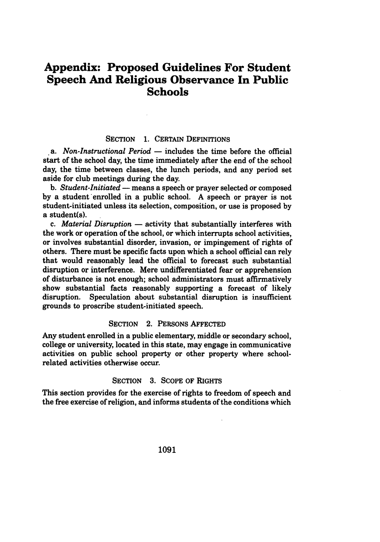### **Appendix: Proposed Guidelines For Student Speech And Religious Observance In Public Schools**

### **SECTION 1. CERTAIN DEFINITIONS**

*a. Non-Instructional Period* **-** includes the time before the official start of the school day, the time immediately after the end of the school day, the time between classes, the lunch periods, and any period set aside for club meetings during the day.

**b.** *Student-Initiated* **-** means a speech or prayer selected or composed **by** a student enrolled in a public school. **A** speech or prayer is not student-initiated unless its selection, composition, or use is proposed **by** a student(s).

*c. Material Disruption* **-** activity that substantially interferes with the work or operation of the school, or which interrupts school activities, or involves substantial disorder, invasion, or impingement of rights of others. There must be specific facts upon which a school official can rely that would reasonably lead the official to forecast such substantial disruption or interference. Mere undifferentiated fear or apprehension of disturbance is not enough; school administrators must affirmatively show substantial facts reasonably supporting a forecast of likely disruption. Speculation about substantial disruption is insufficient grounds to proscribe student-initiated speech.

### SECTION 2. PERSONS AFFECTED

Any student enrolled in a public elementary, middle or secondary school, college or university, located in this state, may engage in communicative activities on public school property or other property where schoolrelated activities otherwise occur.

#### **SECTION** 3. SCOPE OF RIGHTS

This section provides for the exercise of rights to freedom of speech and the free exercise of religion, and informs students of the conditions which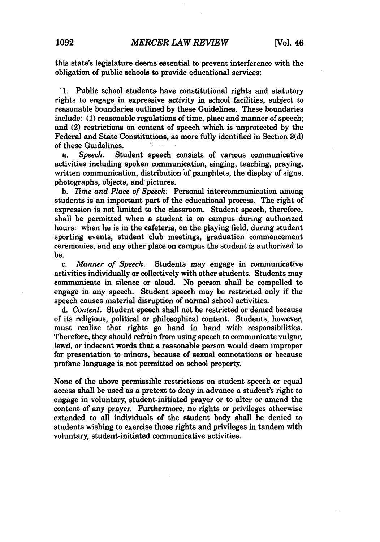this state's legislature deems essential to prevent interference with the obligation of public schools to provide educational services:

**1.** Public school students, have constitutional rights and statutory rights to engage in expressive activity in school facilities, subject to reasonable boundaries outlined **by** these Guidelines. These boundaries include: **(1)** reasonable regulations of time, place and manner of speech; and (2) restrictions on content of speech which is unprotected **by** the Federal and State Constitutions, as more fully identified in Section **3(d)** of these Guidelines.

a. *Speech.* Student speech consists of various communicative activities including spoken communication, singing, teaching, praying, written communication, distribution of pamphlets, the display of signs, photographs, objects, and pictures.

**b.** *Time and Place of Speech.* Personal intercommunication among students is an important part of the educational process. The right of expression is not limited to the classroom. Student speech, therefore, shall be permitted when a student is on campus during authorized hours: when he is in the cafeteria, on the playing field, during student sporting events, student club meetings, graduation commencement ceremonies, and any other place on campus the student is authorized to be.

c. *Manner of Speech.* Students may engage in communicative activities individually or collectively with other students. Students may communicate in silence or aloud. No person shall be compelled to engage in any speech. Student speech may be restricted only if the speech causes material disruption of normal school activities.

d. *Content.* Student speech shall not be restricted or denied because of its religious, political or philosophical content. Students, however, must realize that rights go hand in hand with responsibilities. Therefore, they should refrain from using speech to communicate vulgar, lewd, or indecent words that a reasonable person would deem improper for presentation to minors, because of sexual connotations or because profane language is not permitted on school property.

None of the above permissible restrictions on student speech or equal access shall be used as a pretext to deny in advance a student's right to engage in voluntary, student-initiated prayer or to alter or amend the content of any prayer. Furthermore, no rights or privileges otherwise extended to all individuals of the student body shall be denied to students wishing to exercise those rights and privileges in tandem with voluntary, student-initiated communicative activities.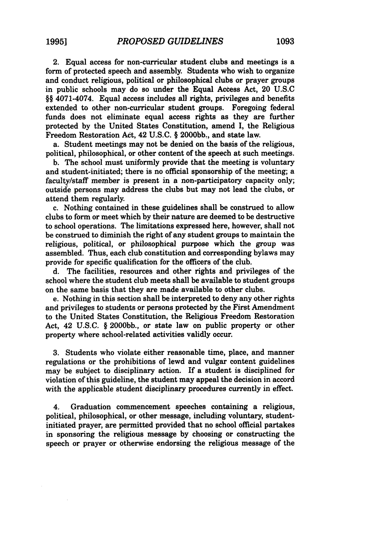2. Equal access for non-curricular student clubs and meetings is a form of protected speech and assembly. Students who wish to organize and conduct religious, political or philosophical clubs or prayer groups in public schools may do so under the Equal Access Act, 20 U.S.C §§ 4071-4074. Equal access includes all rights, privileges and benefits extended to other non-curricular student groups. Foregoing federal funds does not eliminate equal access rights as they are further protected by the United States Constitution, amend I, the Religious Freedom Restoration Act, 42 U.S.C. § 2000bb., and state law.

a. Student meetings may not be denied on the basis of the religious, political, philosophical, or other content of the speech at such meetings.

b. The school must uniformly provide that the meeting is voluntary and student-initiated; there is no official sponsorship of the meeting; a faculty/staff member is present in a non-participatory capacity only; outside persons may address the clubs but may not lead the clubs, or attend them regularly.

c. Nothing contained in these guidelines shall be construed to allow clubs to form or meet which by their nature are deemed to be destructive to school operations. The limitations expressed here, however, shall not be construed to diminish the right of any student groups to maintain the religious, political, or philosophical purpose which the group was assembled. Thus, each club constitution and corresponding bylaws may provide for specific qualification for the officers of the club.

d. The facilities, resources and other rights and privileges of the school where the student club meets shall be available to student groups on the same basis that they are made available to other clubs.

e. Nothing in this section shall be interpreted to deny any other rights and privileges to students or persons protected by the First Amendment to the United States Constitution, the Religious Freedom Restoration Act, 42 U.S.C. § 2000bb., or state law on public property or other property where school-related activities validly occur.

3. Students who violate either reasonable time, place, and manner regulations or the prohibitions of lewd and vulgar content guidelines may be subject to disciplinary action. If a student is disciplined for violation of this guideline, the student may appeal the decision in accord with the applicable student disciplinary procedures currently in effect.

4. Graduation commencement speeches containing a religious, political, philosophical, or other message, including voluntary, studentinitiated prayer, are permitted provided that no school official partakes in sponsoring the religious message **by** choosing or constructing the speech or prayer or otherwise endorsing the religious message of the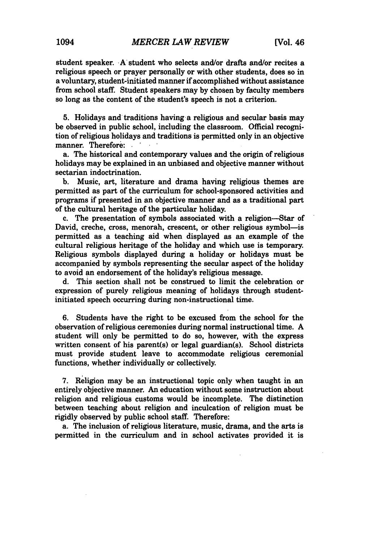student speaker. A' student who selects and/or drafts and/or recites a religious speech or prayer personally or with other students, does so in a voluntary, student-initiated manner if accomplished without assistance from school staff. Student speakers may by chosen by faculty members so long as the content of the student's speech is not a criterion.

**5.** Holidays and traditions having a religious and secular basis may be observed in public school, including the classroom. Official recognition of religious holidays and traditions is permitted only in an objective manner. Therefore:

a. The historical and contemporary values and the origin of religious holidays may be explained in an unbiased and objective manner without sectarian indoctrination.

**b.** Music, art, literature and drama having religious themes are permitted as part of the curriculum for school-sponsored activities and programs if presented in an objective manner and as a traditional part of the cultural heritage of the particular holiday.

c. The presentation of symbols associated with a religion--Star of David, creche, cross, menorah, crescent, or other religious symbol-is permitted as a teaching aid when displayed as an example of the cultural religious heritage of the holiday and which use is temporary. Religious symbols displayed during a holiday or holidays must be accompanied by symbols representing the secular aspect of the holiday to avoid an endorsement of the holiday's religious message.

d. This section shall not be construed to limit the celebration or expression of purely religious meaning of holidays through studentinitiated speech occurring during non-instructional time.

6. Students have the right to be excused from the school for the observation of religious ceremonies during normal instructional time. A student will only be permitted to do so, however, with the express written consent of his parent(s) or legal guardian(s). School districts must provide student leave to accommodate religious ceremonial functions, whether individually or collectively.

7. Religion may be an instructional topic only when taught in an entirely objective manner. An education without some instruction about religion and religious customs would be incomplete. The distinction between teaching about religion and inculcation of religion must be rigidly observed by public school staff. Therefore:

a. The inclusion of religious literature, music, drama, and the arts is permitted in the curriculum and in school activates provided it is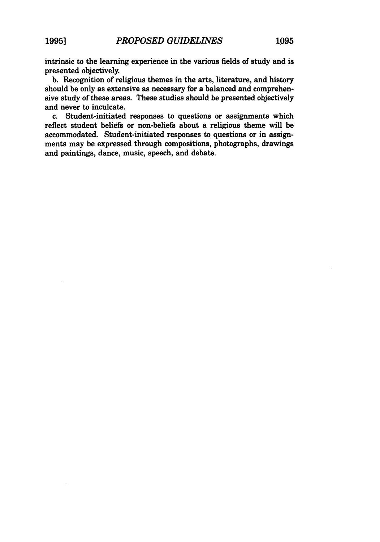intrinsic to the learning experience in the various fields of study and is presented objectively.

b. Recognition of religious themes in the arts, literature, and history should be only as extensive as necessary for a balanced and comprehensive study of these areas. These studies should be presented objectively and never to inculcate.

c. Student-initiated responses to questions or assignments which reflect student beliefs or non-beliefs about a religious theme will be accommodated. Student-initiated responses to questions or in assignments may be expressed through compositions, photographs, drawings and paintings, dance, music, speech, and debate.